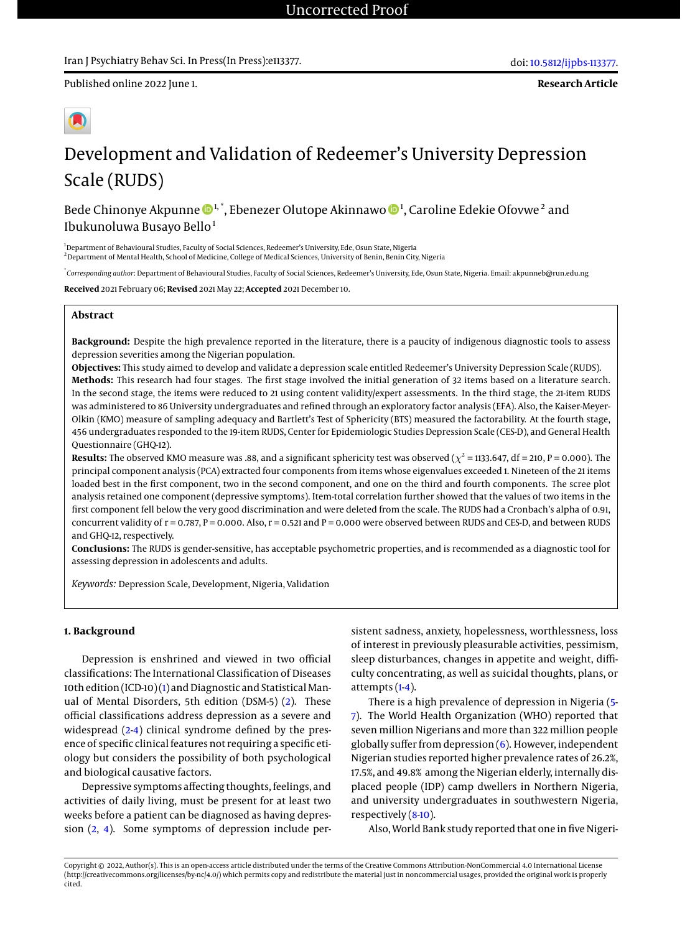**Research Article**

# Development and Validation of Redeemer's University Depression Scale (RUDS)

Bede Chinonye Akpunne  $\mathbf{\Phi}^{1,*}$ , Ebenezer Olutope Akinnawo  $\mathbf{\Phi}^{1}$ , Caroline Edekie Ofovwe $^2$  and Ibukunoluwa Busayo Bello<sup>1</sup>

<sup>1</sup>Department of Behavioural Studies, Faculty of Social Sciences, Redeemer's University, Ede, Osun State, Nigeria <sup>2</sup> Department of Mental Health, School of Medicine, College of Medical Sciences, University of Benin, Benin City, Nigeria

\* *Corresponding author*: Department of Behavioural Studies, Faculty of Social Sciences, Redeemer's University, Ede, Osun State, Nigeria. Email: akpunneb@run.edu.ng

**Received** 2021 February 06; **Revised** 2021 May 22; **Accepted** 2021 December 10.

### **Abstract**

**Background:** Despite the high prevalence reported in the literature, there is a paucity of indigenous diagnostic tools to assess depression severities among the Nigerian population.

**Objectives:** This study aimed to develop and validate a depression scale entitled Redeemer's University Depression Scale (RUDS). **Methods:** This research had four stages. The first stage involved the initial generation of 32 items based on a literature search. In the second stage, the items were reduced to 21 using content validity/expert assessments. In the third stage, the 21-item RUDS was administered to 86 University undergraduates and refined through an exploratory factor analysis (EFA). Also, the Kaiser-Meyer-Olkin (KMO) measure of sampling adequacy and Bartlett's Test of Sphericity (BTS) measured the factorability. At the fourth stage, 456 undergraduates responded to the 19-item RUDS, Center for Epidemiologic Studies Depression Scale (CES-D), and General Health Questionnaire (GHQ-12).

**Results:** The observed KMO measure was .88, and a significant sphericity test was observed ( $\chi^2$  = 1133.647, df = 210, P = 0.000). The principal component analysis (PCA) extracted four components from items whose eigenvalues exceeded 1. Nineteen of the 21 items loaded best in the first component, two in the second component, and one on the third and fourth components. The scree plot analysis retained one component (depressive symptoms). Item-total correlation further showed that the values of two items in the first component fell below the very good discrimination and were deleted from the scale. The RUDS had a Cronbach's alpha of 0.91, concurrent validity of  $r = 0.787$ ,  $P = 0.000$ . Also,  $r = 0.521$  and  $P = 0.000$  were observed between RUDS and CES-D, and between RUDS and GHQ-12, respectively.

**Conclusions:** The RUDS is gender-sensitive, has acceptable psychometric properties, and is recommended as a diagnostic tool for assessing depression in adolescents and adults.

*Keywords:* Depression Scale, Development, Nigeria, Validation

#### **1. Background**

Depression is enshrined and viewed in two official classifications: The International Classification of Diseases 10th edition (ICD-10) [\(1\)](#page-6-0) and Diagnostic and Statistical Manual of Mental Disorders, 5th edition (DSM-5) [\(2\)](#page-6-1). These official classifications address depression as a severe and widespread  $(2-4)$  $(2-4)$  clinical syndrome defined by the presence of specific clinical features not requiring a specific etiology but considers the possibility of both psychological and biological causative factors.

Depressive symptoms affecting thoughts, feelings, and activities of daily living, must be present for at least two weeks before a patient can be diagnosed as having depression [\(2,](#page-6-1) [4\)](#page-6-2). Some symptoms of depression include per-

sistent sadness, anxiety, hopelessness, worthlessness, loss of interest in previously pleasurable activities, pessimism, sleep disturbances, changes in appetite and weight, difficulty concentrating, as well as suicidal thoughts, plans, or attempts [\(1-](#page-6-0)[4\)](#page-6-2).

There is a high prevalence of depression in Nigeria [\(5-](#page-6-3) [7\)](#page-7-0). The World Health Organization (WHO) reported that seven million Nigerians and more than 322 million people globally suffer from depression  $(6)$ . However, independent Nigerian studies reported higher prevalence rates of 26.2%, 17.5%, and 49.8% among the Nigerian elderly, internally displaced people (IDP) camp dwellers in Northern Nigeria, and university undergraduates in southwestern Nigeria, respectively [\(8-](#page-7-2)[10\)](#page-7-3).

Also, World Bank study reported that one in five Nigeri-

Copyright © 2022, Author(s). This is an open-access article distributed under the terms of the Creative Commons Attribution-NonCommercial 4.0 International License (http://creativecommons.org/licenses/by-nc/4.0/) which permits copy and redistribute the material just in noncommercial usages, provided the original work is properly cited.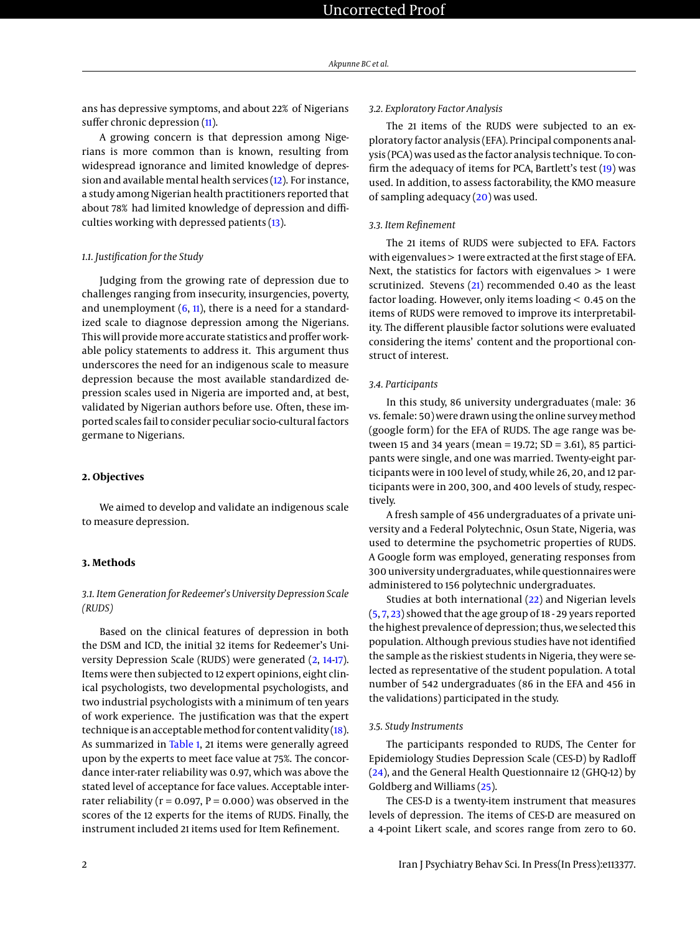ans has depressive symptoms, and about 22% of Nigerians suffer chronic depression [\(11\)](#page-7-4).

A growing concern is that depression among Nigerians is more common than is known, resulting from widespread ignorance and limited knowledge of depression and available mental health services [\(12\)](#page-7-5). For instance, a study among Nigerian health practitioners reported that about 78% had limited knowledge of depression and difficulties working with depressed patients [\(13\)](#page-7-6).

#### *1.1. Justification for the Study*

Judging from the growing rate of depression due to challenges ranging from insecurity, insurgencies, poverty, and unemployment  $(6, 11)$  $(6, 11)$  $(6, 11)$ , there is a need for a standardized scale to diagnose depression among the Nigerians. This will provide more accurate statistics and proffer workable policy statements to address it. This argument thus underscores the need for an indigenous scale to measure depression because the most available standardized depression scales used in Nigeria are imported and, at best, validated by Nigerian authors before use. Often, these imported scales fail to consider peculiar socio-cultural factors germane to Nigerians.

#### **2. Objectives**

We aimed to develop and validate an indigenous scale to measure depression.

#### **3. Methods**

#### *3.1. Item Generation for Redeemer's University Depression Scale (RUDS)*

Based on the clinical features of depression in both the DSM and ICD, the initial 32 items for Redeemer's University Depression Scale (RUDS) were generated [\(2,](#page-6-1) [14-](#page-7-7)[17\)](#page-7-8). Items were then subjected to 12 expert opinions, eight clinical psychologists, two developmental psychologists, and two industrial psychologists with a minimum of ten years of work experience. The justification was that the expert technique is an acceptable method for content validity  $(18)$ . As summarized in [Table 1,](#page-2-0) 21 items were generally agreed upon by the experts to meet face value at 75%. The concordance inter-rater reliability was 0.97, which was above the stated level of acceptance for face values. Acceptable interrater reliability ( $r = 0.097$ ,  $P = 0.000$ ) was observed in the scores of the 12 experts for the items of RUDS. Finally, the instrument included 21 items used for Item Refinement.

#### *3.2. Exploratory Factor Analysis*

The 21 items of the RUDS were subjected to an exploratory factor analysis (EFA). Principal components analysis (PCA) was used as the factor analysis technique. To confirm the adequacy of items for PCA, Bartlett's test [\(19\)](#page-7-10) was used. In addition, to assess factorability, the KMO measure of sampling adequacy [\(20\)](#page-7-11) was used.

#### *3.3. Item Refinement*

The 21 items of RUDS were subjected to EFA. Factors with eigenvalues > 1 were extracted at the first stage of EFA. Next, the statistics for factors with eigenvalues > 1 were scrutinized. Stevens [\(21\)](#page-7-12) recommended 0.40 as the least factor loading. However, only items loading < 0.45 on the items of RUDS were removed to improve its interpretability. The different plausible factor solutions were evaluated considering the items' content and the proportional construct of interest.

#### *3.4. Participants*

In this study, 86 university undergraduates (male: 36 vs. female: 50) were drawn using the online survey method (google form) for the EFA of RUDS. The age range was between 15 and 34 years (mean = 19.72; SD = 3.61), 85 participants were single, and one was married. Twenty-eight participants were in 100 level of study, while 26, 20, and 12 participants were in 200, 300, and 400 levels of study, respectively.

A fresh sample of 456 undergraduates of a private university and a Federal Polytechnic, Osun State, Nigeria, was used to determine the psychometric properties of RUDS. A Google form was employed, generating responses from 300 university undergraduates, while questionnaires were administered to 156 polytechnic undergraduates.

Studies at both international [\(22\)](#page-7-13) and Nigerian levels [\(5,](#page-6-3) [7,](#page-7-0) [23\)](#page-7-14) showed that the age group of 18 - 29 years reported the highest prevalence of depression; thus, we selected this population. Although previous studies have not identified the sample as the riskiest students in Nigeria, they were selected as representative of the student population. A total number of 542 undergraduates (86 in the EFA and 456 in the validations) participated in the study.

#### *3.5. Study Instruments*

The participants responded to RUDS, The Center for Epidemiology Studies Depression Scale (CES-D) by Radloff [\(24\)](#page-7-15), and the General Health Questionnaire 12 (GHQ-12) by Goldberg and Williams [\(25\)](#page-7-16).

The CES-D is a twenty-item instrument that measures levels of depression. The items of CES-D are measured on a 4-point Likert scale, and scores range from zero to 60.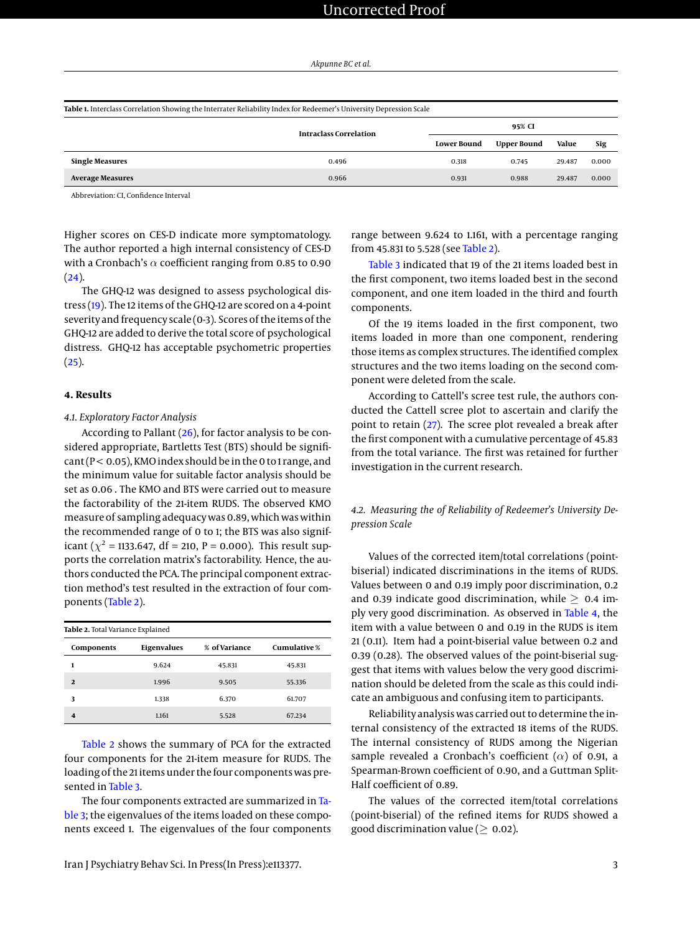<span id="page-2-0"></span>

| Table 1. Interclass Correlation Showing the Interrater Reliability Index for Redeemer's University Depression Scale |                               |                    |                    |        |       |  |
|---------------------------------------------------------------------------------------------------------------------|-------------------------------|--------------------|--------------------|--------|-------|--|
|                                                                                                                     | <b>Intraclass Correlation</b> | 95% CI             |                    |        |       |  |
|                                                                                                                     |                               | <b>Lower Bound</b> | <b>Upper Bound</b> | Value  | Sig   |  |
| <b>Single Measures</b>                                                                                              | 0.496                         | 0.318              | 0.745              | 29.487 | 0.000 |  |
| <b>Average Measures</b>                                                                                             | 0.966                         | 0.931              | 0.988              | 29.487 | 0.000 |  |

Abbreviation: CI, Confidence Interval

Higher scores on CES-D indicate more symptomatology. The author reported a high internal consistency of CES-D with a Cronbach's  $\alpha$  coefficient ranging from 0.85 to 0.90  $(24).$  $(24).$ 

The GHQ-12 was designed to assess psychological distress [\(19\)](#page-7-10). The 12 items of the GHQ-12 are scored on a 4-point severity and frequency scale (0-3). Scores of the items of the GHQ-12 are added to derive the total score of psychological distress. GHQ-12 has acceptable psychometric properties  $(25).$  $(25).$ 

#### **4. Results**

#### *4.1. Exploratory Factor Analysis*

According to Pallant [\(26\)](#page-7-17), for factor analysis to be considered appropriate, Bartletts Test (BTS) should be signifi $cart$  (P < 0.05), KMO index should be in the 0 to 1 range, and the minimum value for suitable factor analysis should be set as 0.06 . The KMO and BTS were carried out to measure the factorability of the 21-item RUDS. The observed KMO measure of sampling adequacy was 0.89, which was within the recommended range of 0 to 1; the BTS was also significant ( $\chi^2$  = 1133.647, df = 210, P = 0.000). This result supports the correlation matrix's factorability. Hence, the authors conducted the PCA. The principal component extraction method's test resulted in the extraction of four components [\(Table 2\)](#page-2-1).

<span id="page-2-1"></span>

| Table 2. Total Variance Explained |             |               |                     |  |  |  |
|-----------------------------------|-------------|---------------|---------------------|--|--|--|
| Components                        | Eigenvalues | % of Variance | <b>Cumulative</b> % |  |  |  |
| 1                                 | 9.624       | 45.831        | 45.831              |  |  |  |
| $\mathfrak{D}$                    | 1.996       | 9.505         | 55.336              |  |  |  |
| 3                                 | 1.338       | 6.370         | 61.707              |  |  |  |
| 4                                 | 1.161       | 5.528         | 67.234              |  |  |  |

[Table 2](#page-2-1) shows the summary of PCA for the extracted four components for the 21-item measure for RUDS. The loading of the 21 items under the four components was presented in [Table 3.](#page-3-0)

The four components extracted are summarized in [Ta](#page-3-0)[ble 3;](#page-3-0) the eigenvalues of the items loaded on these components exceed 1. The eigenvalues of the four components

range between 9.624 to 1.161, with a percentage ranging from 45.831 to 5.528 (see [Table 2\)](#page-2-1).

[Table 3](#page-3-0) indicated that 19 of the 21 items loaded best in the first component, two items loaded best in the second component, and one item loaded in the third and fourth components.

Of the 19 items loaded in the first component, two items loaded in more than one component, rendering those items as complex structures. The identified complex structures and the two items loading on the second component were deleted from the scale.

According to Cattell's scree test rule, the authors conducted the Cattell scree plot to ascertain and clarify the point to retain [\(27\)](#page-7-18). The scree plot revealed a break after the first component with a cumulative percentage of 45.83 from the total variance. The first was retained for further investigation in the current research.

*4.2. Measuring the of Reliability of Redeemer's University Depression Scale*

Values of the corrected item/total correlations (pointbiserial) indicated discriminations in the items of RUDS. Values between 0 and 0.19 imply poor discrimination, 0.2 and 0.39 indicate good discrimination, while  $\geq$  0.4 imply very good discrimination. As observed in [Table 4,](#page-4-0) the item with a value between 0 and 0.19 in the RUDS is item 21 (0.11). Item had a point-biserial value between 0.2 and 0.39 (0.28). The observed values of the point-biserial suggest that items with values below the very good discrimination should be deleted from the scale as this could indicate an ambiguous and confusing item to participants.

Reliability analysis was carried out to determine the internal consistency of the extracted 18 items of the RUDS. The internal consistency of RUDS among the Nigerian sample revealed a Cronbach's coefficient ( $\alpha$ ) of 0.91, a Spearman-Brown coefficient of 0.90, and a Guttman Split-Half coefficient of 0.89.

The values of the corrected item/total correlations (point-biserial) of the refined items for RUDS showed a good discrimination value ( $\geq 0.02$ ).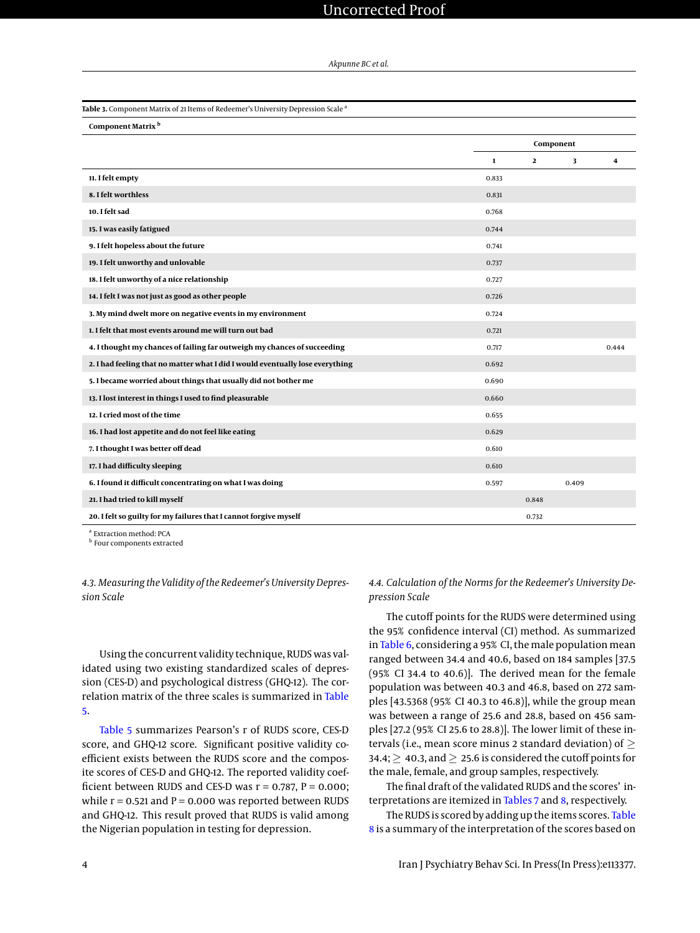# Uncorrected Proof

#### *Akpunne BC et al.*

<span id="page-3-0"></span>

| Table 3. Component Matrix of 21 Items of Redeemer's University Depression Scale <sup>a</sup> |              |              |       |       |
|----------------------------------------------------------------------------------------------|--------------|--------------|-------|-------|
| Component Matrix b                                                                           |              |              |       |       |
|                                                                                              |              | Component    |       |       |
| 11. I felt empty                                                                             | $\mathbf{1}$ | $\mathbf{2}$ | 3     | 4     |
|                                                                                              | 0.833        |              |       |       |
| 8. I felt worthless                                                                          | 0.831        |              |       |       |
| 10. I felt sad                                                                               | 0.768        |              |       |       |
| 15. I was easily fatigued                                                                    | 0.744        |              |       |       |
| 9. I felt hopeless about the future                                                          | 0.741        |              |       |       |
| 19. I felt unworthy and unlovable                                                            | 0.737        |              |       |       |
| 18. I felt unworthy of a nice relationship                                                   | 0.727        |              |       |       |
| 14. I felt I was not just as good as other people                                            | 0.726        |              |       |       |
| 3. My mind dwelt more on negative events in my environment                                   | 0.724        |              |       |       |
| 1. I felt that most events around me will turn out bad                                       | 0.721        |              |       |       |
| 4. I thought my chances of failing far outweigh my chances of succeeding                     | 0.717        |              |       | 0.444 |
| 2. I had feeling that no matter what I did I would eventually lose everything                | 0.692        |              |       |       |
| 5. I became worried about things that usually did not bother me                              | 0.690        |              |       |       |
| 13. I lost interest in things I used to find pleasurable                                     | 0.660        |              |       |       |
| 12. I cried most of the time                                                                 | 0.655        |              |       |       |
| 16. I had lost appetite and do not feel like eating                                          | 0.629        |              |       |       |
| 7. I thought I was better off dead                                                           | 0.610        |              |       |       |
| 17. I had difficulty sleeping                                                                | 0.610        |              |       |       |
| 6. I found it difficult concentrating on what I was doing                                    | 0.597        |              | 0.409 |       |
| 21. I had tried to kill myself                                                               |              | 0.848        |       |       |
| 20. I felt so guilty for my failures that I cannot forgive myself                            |              | 0.732        |       |       |

Extraction method: PCA **b** Four components extracted

*4.3. Measuring the Validity of the Redeemer's University Depression Scale*

Using the concurrent validity technique, RUDS was validated using two existing standardized scales of depression (CES-D) and psychological distress (GHQ-12). The correlation matrix of the three scales is summarized in [Table](#page-4-1) [5.](#page-4-1)

[Table 5](#page-4-1) summarizes Pearson's r of RUDS score, CES-D score, and GHQ-12 score. Significant positive validity coefficient exists between the RUDS score and the composite scores of CES-D and GHQ-12. The reported validity coefficient between RUDS and CES-D was  $r = 0.787$ ,  $P = 0.000$ ; while  $r = 0.521$  and  $P = 0.000$  was reported between RUDS and GHQ-12. This result proved that RUDS is valid among the Nigerian population in testing for depression.

*4.4. Calculation of the Norms for the Redeemer's University Depression Scale*

The cutoff points for the RUDS were determined using the 95% confidence interval (CI) method. As summarized in [Table 6,](#page-5-0) considering a 95% CI, the male population mean ranged between 34.4 and 40.6, based on 184 samples [37.5 (95% CI 34.4 to 40.6)]. The derived mean for the female population was between 40.3 and 46.8, based on 272 samples [43.5368 (95% CI 40.3 to 46.8)], while the group mean was between a range of 25.6 and 28.8, based on 456 samples [27.2 (95% CI 25.6 to 28.8)]. The lower limit of these intervals (i.e., mean score minus 2 standard deviation) of  $\geq$ 34.4;  $\geq 40.3$ , and  $\geq 25.6$  is considered the cutoff points for the male, female, and group samples, respectively.

The final draft of the validated RUDS and the scores' interpretations are itemized in [Tables 7](#page-6-4) and [8,](#page-6-5) respectively.

The RUDS is scored by adding up the items scores. [Table](#page-6-5) [8](#page-6-5) is a summary of the interpretation of the scores based on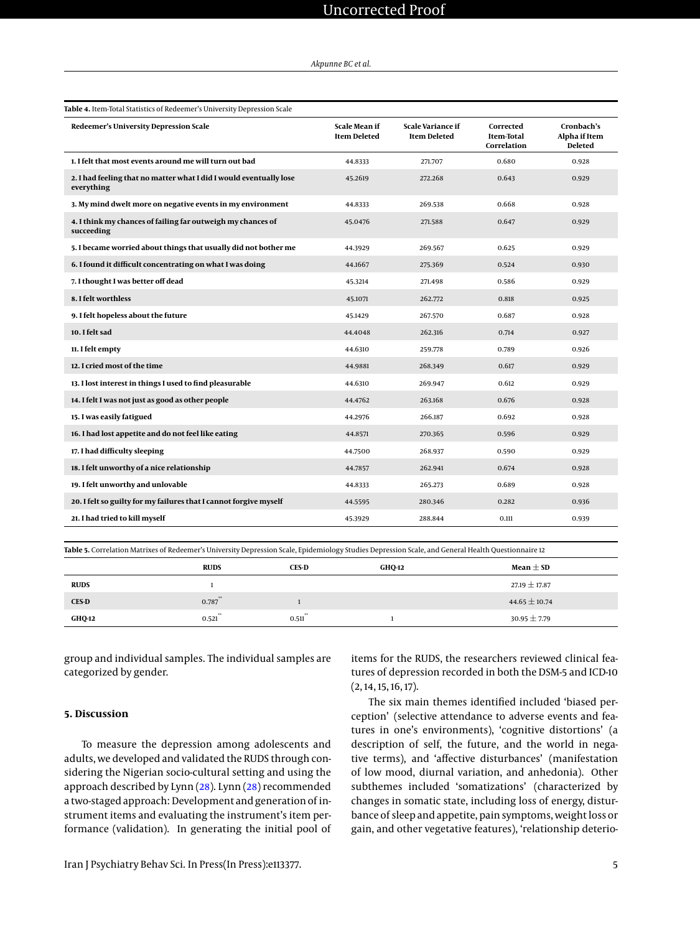# Uncorrected Proof

#### *Akpunne BC et al.*

<span id="page-4-0"></span>

| Table 4. Item-Total Statistics of Redeemer's University Depression Scale         |                                             |                                                 |                                               |                                               |  |  |
|----------------------------------------------------------------------------------|---------------------------------------------|-------------------------------------------------|-----------------------------------------------|-----------------------------------------------|--|--|
| Redeemer's University Depression Scale                                           | <b>Scale Mean if</b><br><b>Item Deleted</b> | <b>Scale Variance if</b><br><b>Item Deleted</b> | Corrected<br><b>Item-Total</b><br>Correlation | Cronbach's<br>Alpha if Item<br><b>Deleted</b> |  |  |
| 1. I felt that most events around me will turn out bad                           | 44.8333                                     | 271.707                                         | 0.680                                         | 0.928                                         |  |  |
| 2. I had feeling that no matter what I did I would eventually lose<br>everything | 45.2619                                     | 272.268                                         | 0.643                                         | 0.929                                         |  |  |
| 3. My mind dwelt more on negative events in my environment                       | 44.8333                                     | 269.538                                         | 0.668                                         | 0.928                                         |  |  |
| 4. I think my chances of failing far outweigh my chances of<br>succeeding        | 45.0476                                     | 271.588                                         | 0.647                                         | 0.929                                         |  |  |
| 5. I became worried about things that usually did not bother me                  | 44.3929                                     | 269.567                                         | 0.625                                         | 0.929                                         |  |  |
| 6. I found it difficult concentrating on what I was doing                        | 44.1667                                     | 275.369                                         | 0.524                                         | 0.930                                         |  |  |
| 7. I thought I was better off dead                                               | 45.3214                                     | 271.498                                         | 0.586                                         | 0.929                                         |  |  |
| 8. I felt worthless                                                              | 45.1071                                     | 262.772                                         | 0.818                                         | 0.925                                         |  |  |
| 9. I felt hopeless about the future                                              | 45.1429                                     | 267.570                                         | 0.687                                         | 0.928                                         |  |  |
| 10. I felt sad                                                                   | 44.4048                                     | 262.316                                         | 0.714                                         | 0.927                                         |  |  |
| 11. I felt empty                                                                 | 44.6310                                     | 259.778                                         | 0.789                                         | 0.926                                         |  |  |
| 12. I cried most of the time                                                     | 44.9881                                     | 268.349                                         | 0.617                                         | 0.929                                         |  |  |
| 13. I lost interest in things I used to find pleasurable                         | 44.6310                                     | 269.947                                         | 0.612                                         | 0.929                                         |  |  |
| 14. I felt I was not just as good as other people                                | 44.4762                                     | 263.168                                         | 0.676                                         | 0.928                                         |  |  |
| 15. I was easily fatigued                                                        | 44.2976                                     | 266.187                                         | 0.692                                         | 0.928                                         |  |  |
| 16. I had lost appetite and do not feel like eating                              | 44.8571                                     | 270.365                                         | 0.596                                         | 0.929                                         |  |  |
| 17. I had difficulty sleeping                                                    | 44.7500                                     | 268.937                                         | 0.590                                         | 0.929                                         |  |  |
| 18. I felt unworthy of a nice relationship                                       | 44.7857                                     | 262.941                                         | 0.674                                         | 0.928                                         |  |  |
| 19. I felt unworthy and unlovable                                                | 44.8333                                     | 265.273                                         | 0.689                                         | 0.928                                         |  |  |
| 20. I felt so guilty for my failures that I cannot forgive myself                | 44.5595                                     | 280.346                                         | 0.282                                         | 0.936                                         |  |  |
| 21. I had tried to kill myself                                                   | 45.3929                                     | 288.844                                         | 0.111                                         | 0.939                                         |  |  |

<span id="page-4-1"></span>**Table 5.** Correlation Matrixes of Redeemer's University Depression Scale, Epidemiology Studies Depression Scale, and General Health Questionnaire 12

|               | <b>RUDS</b> | <b>CES-D</b> | <b>GHQ-12</b> | Mean $\pm$ SD     |
|---------------|-------------|--------------|---------------|-------------------|
| <b>RUDS</b>   |             |              |               | $27.19 \pm 17.87$ |
| <b>CES-D</b>  | $0.787$ **  |              |               | 44.65 $\pm$ 10.74 |
| <b>GHQ-12</b> | 0.521       | 0.511        |               | $30.95 \pm 7.79$  |

group and individual samples. The individual samples are categorized by gender.

### **5. Discussion**

To measure the depression among adolescents and adults, we developed and validated the RUDS through considering the Nigerian socio-cultural setting and using the approach described by Lynn [\(28\)](#page-7-19). Lynn [\(28\)](#page-7-19) recommended a two-staged approach: Development and generation of instrument items and evaluating the instrument's item performance (validation). In generating the initial pool of

items for the RUDS, the researchers reviewed clinical features of depression recorded in both the DSM-5 and ICD-10  $(2, 14, 15, 16, 17).$ 

The six main themes identified included 'biased perception' (selective attendance to adverse events and features in one's environments), 'cognitive distortions' (a description of self, the future, and the world in negative terms), and 'affective disturbances' (manifestation of low mood, diurnal variation, and anhedonia). Other subthemes included 'somatizations' (characterized by changes in somatic state, including loss of energy, disturbance of sleep and appetite, pain symptoms, weight loss or gain, and other vegetative features), 'relationship deterio-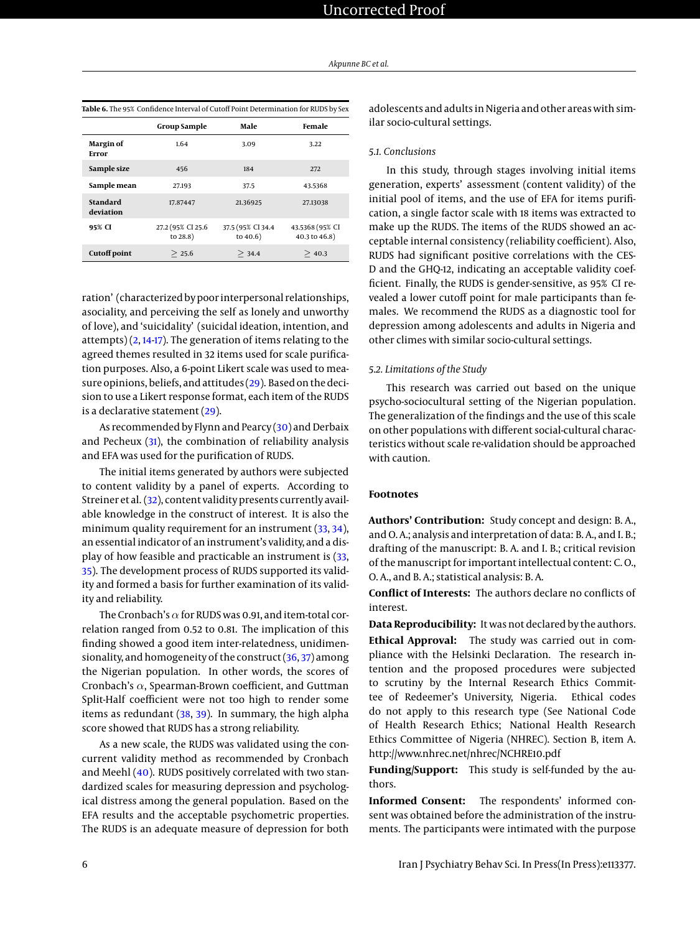|                              | <b>Group Sample</b>               | Male                              | Female                           |
|------------------------------|-----------------------------------|-----------------------------------|----------------------------------|
| Margin of<br>Error           | 1.64                              | 3.09                              | 3.22                             |
| Sample size                  | 456                               | 184                               | 272                              |
| Sample mean                  | 27.193                            | 37.5                              | 43.5368                          |
| <b>Standard</b><br>deviation | 17.87447                          | 21.36925                          | 27.13038                         |
| 95% CI                       | 27.2 (95% CI 25.6)<br>to $28.8$ ) | 37.5 (95% CI 34.4)<br>to $40.6$ ) | 43.5368 (95% CI<br>40.3 to 46.8) |
| <b>Cutoff point</b>          | > 25.6                            | > 34.4                            | > 40.3                           |

<span id="page-5-0"></span>**Table 6.** The 95% Confidence Interval of Cutoff Point Determination for RUDS by Sex

ration' (characterized by poor interpersonal relationships, asociality, and perceiving the self as lonely and unworthy of love), and 'suicidality' (suicidal ideation, intention, and attempts)  $(2, 14-17)$  $(2, 14-17)$  $(2, 14-17)$  $(2, 14-17)$ . The generation of items relating to the agreed themes resulted in 32 items used for scale purification purposes. Also, a 6-point Likert scale was used to measure opinions, beliefs, and attitudes [\(29\)](#page-7-20). Based on the decision to use a Likert response format, each item of the RUDS is a declarative statement [\(29\)](#page-7-20).

As recommended by Flynn and Pearcy [\(30\)](#page-7-21) and Derbaix and Pecheux [\(31\)](#page-7-22), the combination of reliability analysis and EFA was used for the purification of RUDS.

The initial items generated by authors were subjected to content validity by a panel of experts. According to Streiner et al. [\(32\)](#page-7-23), content validity presents currently available knowledge in the construct of interest. It is also the minimum quality requirement for an instrument [\(33,](#page-7-24) [34\)](#page-7-25), an essential indicator of an instrument's validity, and a display of how feasible and practicable an instrument is [\(33,](#page-7-24) [35\)](#page-7-26). The development process of RUDS supported its validity and formed a basis for further examination of its validity and reliability.

The Cronbach's  $\alpha$  for RUDS was 0.91, and item-total correlation ranged from 0.52 to 0.81. The implication of this finding showed a good item inter-relatedness, unidimensionality, and homogeneity of the construct  $(36, 37)$  $(36, 37)$  $(36, 37)$  among the Nigerian population. In other words, the scores of Cronbach's  $\alpha$ , Spearman-Brown coefficient, and Guttman Split-Half coefficient were not too high to render some items as redundant  $(38, 39)$  $(38, 39)$  $(38, 39)$ . In summary, the high alpha score showed that RUDS has a strong reliability.

As a new scale, the RUDS was validated using the concurrent validity method as recommended by Cronbach and Meehl [\(40\)](#page-7-31). RUDS positively correlated with two standardized scales for measuring depression and psychological distress among the general population. Based on the EFA results and the acceptable psychometric properties. The RUDS is an adequate measure of depression for both

adolescents and adults in Nigeria and other areas with similar socio-cultural settings.

#### *5.1. Conclusions*

In this study, through stages involving initial items generation, experts' assessment (content validity) of the initial pool of items, and the use of EFA for items purification, a single factor scale with 18 items was extracted to make up the RUDS. The items of the RUDS showed an acceptable internal consistency (reliability coefficient). Also, RUDS had significant positive correlations with the CES-D and the GHQ-12, indicating an acceptable validity coefficient. Finally, the RUDS is gender-sensitive, as 95% CI revealed a lower cutoff point for male participants than females. We recommend the RUDS as a diagnostic tool for depression among adolescents and adults in Nigeria and other climes with similar socio-cultural settings.

#### *5.2. Limitations of the Study*

This research was carried out based on the unique psycho-sociocultural setting of the Nigerian population. The generalization of the findings and the use of this scale on other populations with different social-cultural characteristics without scale re-validation should be approached with caution.

#### **Footnotes**

**Authors' Contribution:** Study concept and design: B. A., and O. A.; analysis and interpretation of data: B. A., and I. B.; drafting of the manuscript: B. A. and I. B.; critical revision of the manuscript for important intellectual content: C. O., O. A., and B. A.; statistical analysis: B. A.

**Conflict of Interests:** The authors declare no conflicts of interest.

**Data Reproducibility:** It was not declared by the authors. **Ethical Approval:** The study was carried out in compliance with the Helsinki Declaration. The research intention and the proposed procedures were subjected to scrutiny by the Internal Research Ethics Committee of Redeemer's University, Nigeria. Ethical codes do not apply to this research type (See National Code of Health Research Ethics; National Health Research Ethics Committee of Nigeria (NHREC). Section B, item A. http://www.nhrec.net/nhrec/NCHRE10.pdf

**Funding/Support:** This study is self-funded by the authors.

**Informed Consent:** The respondents' informed consent was obtained before the administration of the instruments. The participants were intimated with the purpose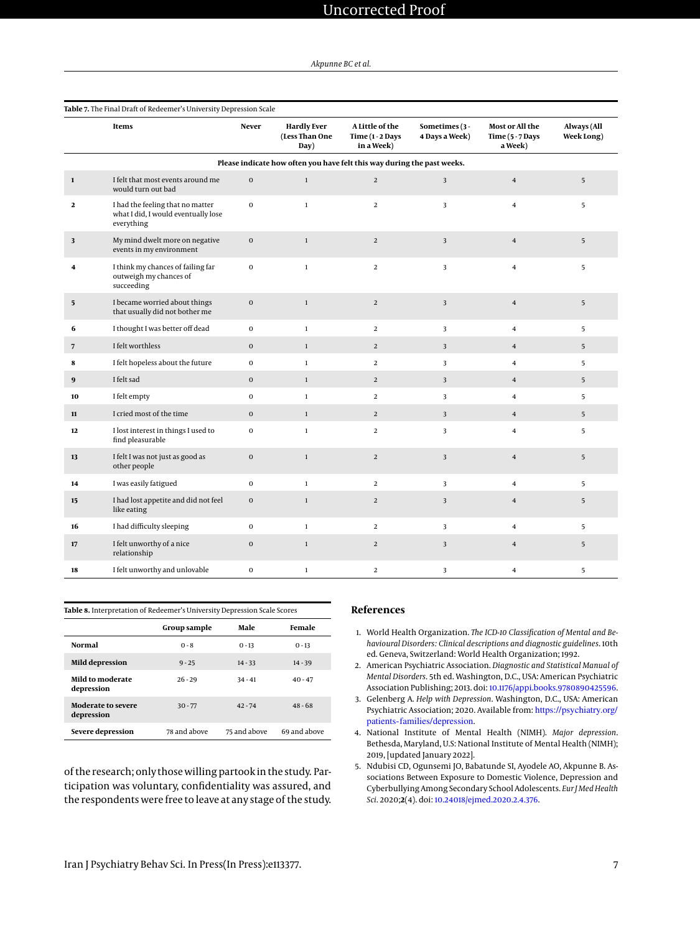<span id="page-6-4"></span>

|                 | Table 7. The Final Draft of Redeemer's University Depression Scale                    |                  |                                                                         |                                                   |                                  |                                                  |                           |  |
|-----------------|---------------------------------------------------------------------------------------|------------------|-------------------------------------------------------------------------|---------------------------------------------------|----------------------------------|--------------------------------------------------|---------------------------|--|
|                 | Items                                                                                 | <b>Never</b>     | <b>Hardly Ever</b><br>(Less Than One<br>Day)                            | A Little of the<br>Time $(1-2$ Days<br>in a Week) | Sometimes (3 -<br>4 Days a Week) | Most or All the<br>Time $(5 - 7$ Days<br>a Week) | Always (All<br>Week Long) |  |
|                 |                                                                                       |                  | Please indicate how often you have felt this way during the past weeks. |                                                   |                                  |                                                  |                           |  |
| $\mathbf 1$     | I felt that most events around me<br>would turn out bad                               | $\boldsymbol{0}$ | $\,1\,$                                                                 | $\overline{2}$                                    | 3                                | $\overline{4}$                                   | 5                         |  |
| $\mathbf{2}$    | I had the feeling that no matter<br>what I did, I would eventually lose<br>everything | $\mathbf{0}$     | $\mathbf{1}$                                                            | $\overline{2}$                                    | 3                                | $\overline{\mathbf{4}}$                          | 5                         |  |
| 3               | My mind dwelt more on negative<br>events in my environment                            | $\mathbf 0$      | $\,1\,$                                                                 | $\overline{2}$                                    | $\mathbf{3}$                     | $\overline{4}$                                   | 5                         |  |
| 4               | I think my chances of failing far<br>outweigh my chances of<br>succeeding             | $\bf{0}$         | $\mathbf{1}$                                                            | $\overline{2}$                                    | 3                                | $\overline{4}$                                   | 5                         |  |
| $5\phantom{.0}$ | I became worried about things<br>that usually did not bother me                       | $\mathbf 0$      | $\,1\,$                                                                 | $\overline{2}$                                    | $\overline{\mathbf{3}}$          | $\bf{4}$                                         | 5                         |  |
| 6               | I thought I was better off dead                                                       | $\mathbf{0}$     | $\mathbf 1$                                                             | $\overline{2}$                                    | 3                                | $\overline{4}$                                   | 5                         |  |
| $\overline{7}$  | I felt worthless                                                                      | $\mathbf{0}$     | $\mathbf{1}$                                                            | $\overline{2}$                                    | 3                                | $\bf{4}$                                         | 5                         |  |
| 8               | I felt hopeless about the future                                                      | $\mathbf 0$      | $\mathbf{1}$                                                            | $\overline{2}$                                    | 3                                | $\overline{4}$                                   | 5                         |  |
| 9               | I felt sad                                                                            | $\mathbf 0$      | $\,1\,$                                                                 | $\overline{a}$                                    | $\mathbf{3}$                     | $\overline{4}$                                   | 5                         |  |
| 10              | I felt empty                                                                          | $\bf{0}$         | $\mathbf{1}$                                                            | $\overline{2}$                                    | 3                                | $\overline{4}$                                   | 5                         |  |
| 11              | I cried most of the time                                                              | $\mathbf 0$      | $1\,$                                                                   | $\overline{2}$                                    | 3                                | $\overline{4}$                                   | 5                         |  |
| 12              | I lost interest in things I used to<br>find pleasurable                               | $\mathbf 0$      | $\mathbf{1}$                                                            | $\overline{2}$                                    | 3                                | $\overline{4}$                                   | 5                         |  |
| 13              | I felt I was not just as good as<br>other people                                      | $\bf{0}$         | $\mathbf 1$                                                             | $\overline{2}$                                    | 3                                | $\bf{4}$                                         | 5                         |  |
| 14              | I was easily fatigued                                                                 | $\bf{0}$         | $\mathbf 1$                                                             | $\overline{2}$                                    | $\overline{\mathbf{3}}$          | $\overline{4}$                                   | 5                         |  |
| 15              | I had lost appetite and did not feel<br>like eating                                   | $\mathbf 0$      | $\,1$                                                                   | $\overline{2}$                                    | 3                                | $\bf{4}$                                         | 5                         |  |
| 16              | I had difficulty sleeping                                                             | $\mathbf{O}$     | $\mathbf{1}$                                                            | $\overline{2}$                                    | 3                                | $\overline{4}$                                   | 5                         |  |
| 17              | I felt unworthy of a nice<br>relationship                                             | $\mathbf 0$      | $\mathbf 1$                                                             | $\overline{2}$                                    | $\overline{\mathbf{3}}$          | $\overline{4}$                                   | 5                         |  |
| 18              | I felt unworthy and unlovable                                                         | $\mathbf{0}$     | $\mathbf{1}$                                                            | 2                                                 | 3                                | $\overline{4}$                                   | 5                         |  |

<span id="page-6-5"></span>

| Table 8. Interpretation of Redeemer's University Depression Scale Scores |              |              |              |  |  |  |
|--------------------------------------------------------------------------|--------------|--------------|--------------|--|--|--|
|                                                                          | Group sample | Male         | Female       |  |  |  |
| <b>Normal</b>                                                            | $0 - 8$      | $0 - 13$     | $0 - 13$     |  |  |  |
| Mild depression                                                          | $9 - 25$     | $14 - 33$    | $14 - 39$    |  |  |  |
| Mild to moderate<br>depression                                           | $26 - 29$    | $34 - 41$    | $40 - 47$    |  |  |  |
| <b>Moderate to severe</b><br>depression                                  | $30 - 77$    | $42 - 74$    | $48 - 68$    |  |  |  |
| Severe depression                                                        | 78 and above | 75 and above | 69 and above |  |  |  |

of the research; only those willing partook in the study. Participation was voluntary, confidentiality was assured, and the respondents were free to leave at any stage of the study.

### **References**

- <span id="page-6-0"></span>1. World Health Organization. *The ICD-10 Classification of Mental and Behavioural Disorders: Clinical descriptions and diagnostic guidelines*. 10th ed. Geneva, Switzerland: World Health Organization; 1992.
- <span id="page-6-1"></span>2. American Psychiatric Association. *Diagnostic and Statistical Manual of Mental Disorders*. 5th ed. Washington, D.C., USA: American Psychiatric Association Publishing; 2013. doi: [10.1176/appi.books.9780890425596.](http://dx.doi.org/10.1176/appi.books.9780890425596)
- 3. Gelenberg A. *Help with Depression*. Washington, D.C., USA: American Psychiatric Association; 2020. Available from: [https://psychiatry.org/](https://psychiatry.org/patients-families/depression) [patients-families/depression](https://psychiatry.org/patients-families/depression).
- <span id="page-6-2"></span>4. National Institute of Mental Health (NIMH). *Major depression*. Bethesda, Maryland, U.S: National Institute of Mental Health (NIMH); 2019, [updated January 2022].
- <span id="page-6-3"></span>5. Ndubisi CD, Ogunsemi JO, Babatunde SI, Ayodele AO, Akpunne B. Associations Between Exposure to Domestic Violence, Depression and Cyberbullying Among Secondary School Adolescents. *Eur J Med Health Sci*. 2020;**2**(4). doi: [10.24018/ejmed.2020.2.4.376.](http://dx.doi.org/10.24018/ejmed.2020.2.4.376)